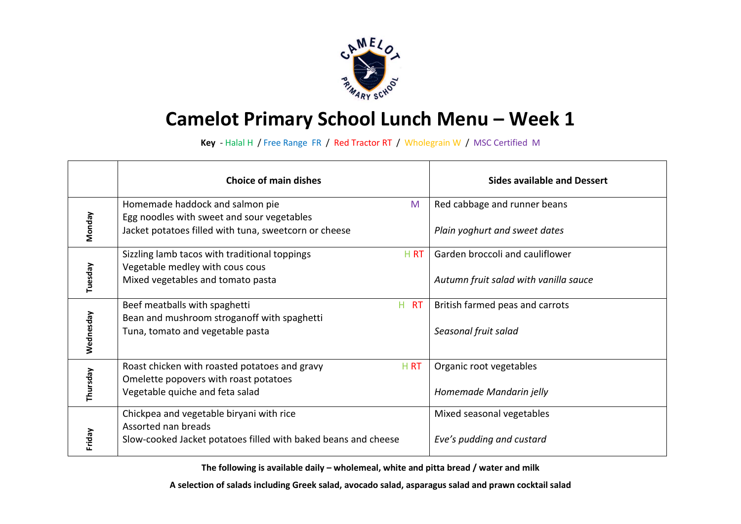

## **Camelot Primary School Lunch Menu – Week 1**

**Key** - Halal H / Free Range FR / Red Tractor RT / Wholegrain W / MSC Certified M

|               | <b>Choice of main dishes</b>                                   | <b>Sides available and Dessert</b>    |
|---------------|----------------------------------------------------------------|---------------------------------------|
|               | Homemade haddock and salmon pie<br>M                           | Red cabbage and runner beans          |
| <b>Monday</b> | Egg noodles with sweet and sour vegetables                     |                                       |
|               | Jacket potatoes filled with tuna, sweetcorn or cheese          | Plain yoghurt and sweet dates         |
|               | Sizzling lamb tacos with traditional toppings<br>H RT          | Garden broccoli and cauliflower       |
| Tuesday       | Vegetable medley with cous cous                                |                                       |
|               | Mixed vegetables and tomato pasta                              | Autumn fruit salad with vanilla sauce |
| Wednesday     | Beef meatballs with spaghetti<br>RT<br>Н.                      | British farmed peas and carrots       |
|               | Bean and mushroom stroganoff with spaghetti                    |                                       |
|               | Tuna, tomato and vegetable pasta                               | Seasonal fruit salad                  |
| Thursday      | Roast chicken with roasted potatoes and gravy<br>H RT          | Organic root vegetables               |
|               | Omelette popovers with roast potatoes                          |                                       |
|               | Vegetable quiche and feta salad                                | Homemade Mandarin jelly               |
|               | Chickpea and vegetable biryani with rice                       | Mixed seasonal vegetables             |
| Friday        | Assorted nan breads                                            |                                       |
|               | Slow-cooked Jacket potatoes filled with baked beans and cheese | Eve's pudding and custard             |

**The following is available daily – wholemeal, white and pitta bread / water and milk**

**A selection of salads including Greek salad, avocado salad, asparagus salad and prawn cocktail salad**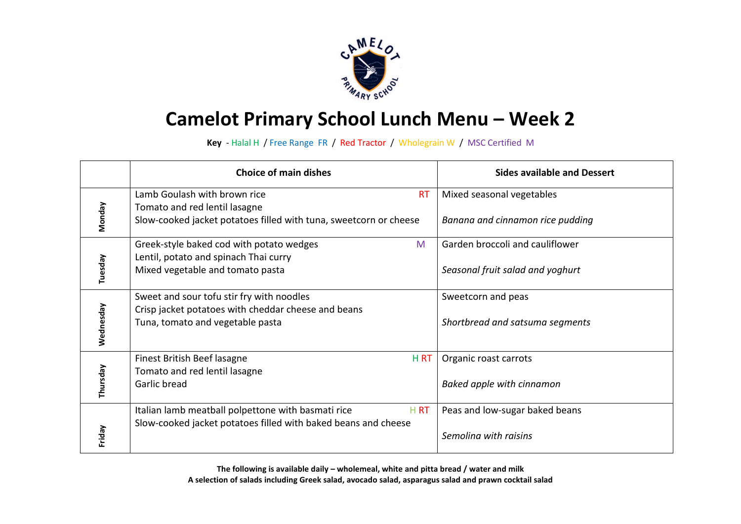

## **Camelot Primary School Lunch Menu – Week 2**

**Key** - Halal H / Free Range FR / Red Tractor / Wholegrain W / MSC Certified M

|           | <b>Choice of main dishes</b>                                          | <b>Sides available and Dessert</b> |
|-----------|-----------------------------------------------------------------------|------------------------------------|
|           | Lamb Goulash with brown rice<br><b>RT</b>                             | Mixed seasonal vegetables          |
| Monday    | Tomato and red lentil lasagne                                         |                                    |
|           | Slow-cooked jacket potatoes filled with tuna, sweetcorn or cheese     | Banana and cinnamon rice pudding   |
| Tuesday   | Greek-style baked cod with potato wedges<br>M                         | Garden broccoli and cauliflower    |
|           | Lentil, potato and spinach Thai curry                                 |                                    |
|           | Mixed vegetable and tomato pasta                                      | Seasonal fruit salad and yoghurt   |
|           |                                                                       |                                    |
|           | Sweet and sour tofu stir fry with noodles                             | Sweetcorn and peas                 |
|           | Crisp jacket potatoes with cheddar cheese and beans                   |                                    |
|           | Tuna, tomato and vegetable pasta                                      | Shortbread and satsuma segments    |
| Wednesday |                                                                       |                                    |
| Thursday  | Finest British Beef lasagne<br>H <sub>RT</sub>                        | Organic roast carrots              |
|           | Tomato and red lentil lasagne                                         |                                    |
|           | Garlic bread                                                          | Baked apple with cinnamon          |
|           | Italian lamb meatball polpettone with basmati rice<br>H <sub>RT</sub> | Peas and low-sugar baked beans     |
|           | Slow-cooked jacket potatoes filled with baked beans and cheese        |                                    |
| Friday    |                                                                       | Semoling with raisins              |

**The following is available daily – wholemeal, white and pitta bread / water and milk A selection of salads including Greek salad, avocado salad, asparagus salad and prawn cocktail salad**